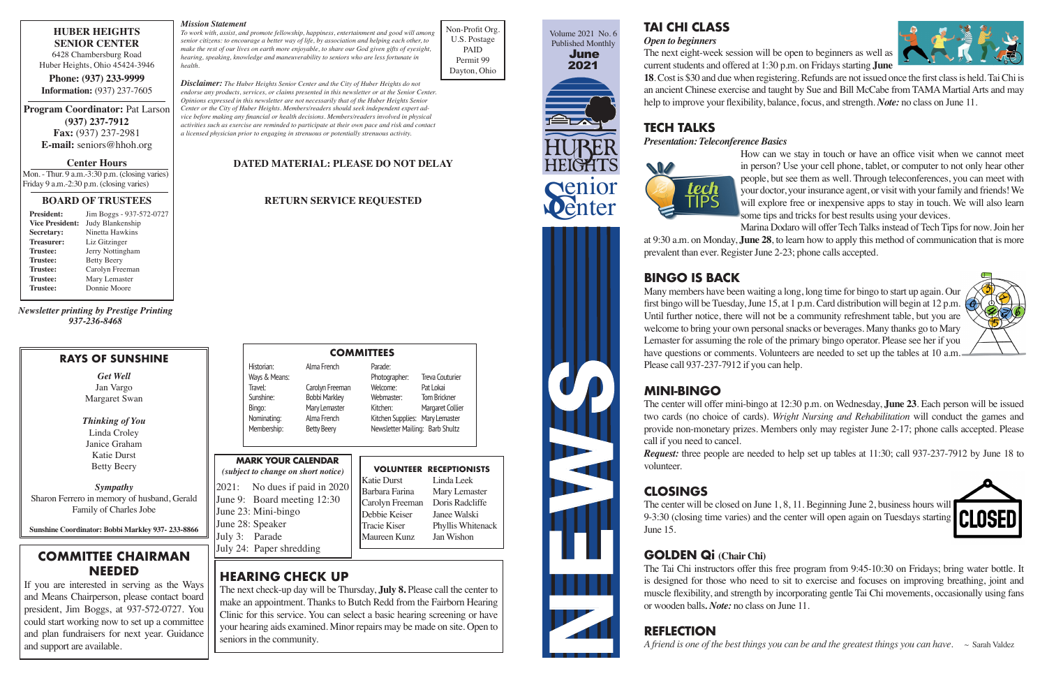*Thinking of You Thinking of You* Linda Croley Linda Croley Janice Graham Janice Graham Katie Durst Katie Durst Betty Beery

Historian: Alma French Parade: Historian: Alma French Parade: Ways & Means: Photographer: Treva Couturier Ways & Means: Photographer: Treva Couturier Travel: Carolyn Freeman Welcome: Pat Lokai Travel: Carolyn Freeman Welcome: Pat Lokai Sunshine: Bobbi Markley Webmaster: Tom Brickner Sunshine: Bobbi Markley Webmaster: Tom Brickner Bingo: Mary Lemaster Kitchen: Margaret Collier Bingo: Mary Lemaster<br>Nominating: Alma French

Nominating: Alma French Kitchen Supplies: Mary Lemaster Nominating: Alma French Kitchen Supplies: Mary Lemaster Membership: Betty Beery Newsletter Mailing: Barb Shultz



HEIGHTS **Senior**<br>Penter

NEWS REAL

**TAI CHI CLASS TAI CHI CLASS** 

*Open to beginners Open to beginners* The next eight-week session will be open to beginners as well as The next eight-week session will be open to beginners as well as

current students and offered at 1:30 p.m. on Fridays starting **June**  current students and offered at 1:30 p.m. on Fridays starting **June** 

18. Cost is \$30 and due when registering. Refunds are not issued once the first class is held. Tai Chi is an ancient Chinese exercise and taught by Sue and Bill McCabe from TAMA Martial Arts and may an ancient Chinese exercise and taught by Sue and Bill McCabe from TAMA Martial Arts and may help to improve your flexibility, balance, focus, and strength. *Note:* no class on June 11. help to improve your flexibility, balance, focus, and strength. *Note:* no class on June 11.

How can we stay in touch or have an office visit when we cannot meet in person? Use your cell phone, tablet, or computer to not only hear other in person? Use your cell phone, tablet, or computer to not only hear other people, but see them as well. Through teleconferences, you can meet with people, but see them as well. Through teleconferences, you can meet with your doctor, your insurance agent, or visit with your family and friends! We your doctor, your insurance agent, or visit with your family and friends! We will explore free or inexpensive apps to stay in touch. We will also learn some tips and tricks for best results using your devices. some tips and tricks for best results using your devices.



# **TECH TALKS TECH TALKS**

*Presentation: Teleconference Basics Presentation: Teleconference Basics*

Marina Dodaro will offer Tech Talks instead of Tech Tips for now. Join her Marina Dodaro will offer Tech Talks instead of Tech Tips for now. Join her at 9:30 a.m. on Monday, **June 28**, to learn how to apply this method of communication that is more at 9:30 a.m. on Monday, **June 28**, to learn how to apply this method of communication that is more prevalent than ever. Register June 2-23; phone calls accepted. prevalent than ever. Register June 2-23; phone calls accepted.

## **BINGO IS BACK BINGO IS BACK**

Many members have been waiting a long, long time for bingo to start up again. Our Many members have been waiting a long, long time for bingo to start up again. Our first bingo will be Tuesday, June 15, at 1 p.m. Card distribution will begin at 12 p.m. first bingo will be Tuesday, June 15, at 1 p.m. Card distribution will begin at 12 p.m. Until further notice, there will not be a community refreshment table, but you are Until further notice, there will not be a community refreshment table, but you are welcome to bring your own personal snacks or beverages. Many thanks go to Mary welcome to bring your own personal snacks or beverages. Many thanks go to Mary Lemaster for assuming the role of the primary bingo operator. Please see her if you Lemaster for assuming the role of the primary bingo operator. Please see her if you have questions or comments. Volunteers are needed to set up the tables at 10 a.m. Please call 937-237-7912 if you can help. Please call 937-237-7912 if you can help.

### **MINI-BINGO MINI-BINGO**

The center will offer mini-bingo at 12:30 p.m. on Wednesday, **June 23**. Each person will be issued The center will offer mini-bingo at 12:30 p.m. on Wednesday, **June 23**. Each person will be issued two cards (no choice of cards). *Wright Nursing and Rehabilitation* will conduct the games and two cards (no choice of cards). *Wright Nursing and Rehabilitation* will conduct the games and provide non-monetary prizes. Members only may register June 2-17; phone calls accepted. Please provide non-monetary prizes. Members only may register June 2-17; phone calls accepted. Please

call if you need to cancel. call if you need to cancel. volunteer. volunteer.

*Request:* three people are needed to help set up tables at 11:30; call 937-237-7912 by June 18 to *Request:* three people are needed to help set up tables at 11:30; call 937-237-7912 by June 18 to

## **CLOSINGS CLOSINGS**

The center will be closed on June 1, 8, 11. Beginning June 2, business hours will The center will be closed on June 1, 8, 11. Beginning June 2, business hours will 9-3:30 (closing time varies) and the center will open again on Tuesdays starting 9-3:30 (closing time varies) and the center will open again on Tuesdays starting June 15. June 15.

## **GOLDEN Qi (Chair Chi) GOLDEN Qi (Chair Chi)**

The Tai Chi instructors offer this free program from 9:45-10:30 on Fridays; bring water bottle. It The Tai Chi instructors offer this free program from 9:45-10:30 on Fridays; bring water bottle. It is designed for those who need to sit to exercise and focuses on improving breathing, joint and is designed for those who need to sit to exercise and focuses on improving breathing, joint and muscle flexibility, and strength by incorporating gentle Tai Chi movements, occasionally using fans muscle flexibility, and strength by incorporating gentle Tai Chi movements, occasionally using fans or wooden balls*. Note:* no class on June 11. or wooden balls*. Note:* no class on June 11.

# **COMMITTEE CHAIRMAN**  $\frac{\text{July 24: Paper Shredding}}{}$ **NEEDED NEEDED**

## **REFLECTION REFLECTION**







### **RAYS OF SUNSHINE RAYS OF SUNSHINE**

**Sunshine Coordinator: Bobbi Markley 937- 233-8866 Sunshine Coordinator: Bobbi Markley 937- 233-8866**

## **HUBER HEIGHTS HUBER HEIGHTS SENIOR CENTER SENIOR CENTER**

6428 Chambersburg Road 6428 Chambersburg Road Huber Heights, Ohio 45424-3946 Huber Heights, Ohio 45424-3946

**Phone: (937) 233-9999 Phone: (937) 233-9999 Information:** (937) 237-7605 **Information:** (937) 237-7605

**Program Coordinator:** Pat Larson **Program Coordinator:** Pat Larson **(937) 237-7912 (937) 237-7912 Fax:** (937) 237-2981 **Fax:** (937) 237-2981 **E-mail:** seniors@hhoh.org **E-mail:** seniors@hhoh.org

**Center Hours Center Hours**

 Mon. - Thur. 9 a.m.-3:30 p.m. (closing varies) Mon. - Thur. 9 a.m.-3:30 p.m. (closing varies) Friday 9 a.m.-2:30 p.m. (closing varies) Friday 9 a.m.-2:30 p.m. (closing varies)

#### **BOARD OF TRUSTEES BOARD OF TRUSTEES**

| <b>President:</b>      | Jim Boggs - 937-572-0727 |
|------------------------|--------------------------|
| <b>Vice President:</b> | Judy Blankenship         |
| Secretary:             | Ninetta Hawkins          |
| <b>Treasurer:</b>      | Liz Gitzinger            |
| <b>Trustee:</b>        | Jerry Nottingham         |
| <b>Trustee:</b>        | <b>Betty Beery</b>       |
| <b>Trustee:</b>        | Carolyn Freeman          |
| <b>Trustee:</b>        | Mary Lemaster            |
| <b>Trustee:</b>        | Donnie Moore             |
|                        |                          |

Non-Profit Org. Non-Profit Org. U.S. Postage U.S. Postage PAID PAID Permit 99 Permit 99 Dayton, Ohio Dayton, Ohio

#### *Mission Statement Mission Statement*

*To work with, assist, and promote fellowship, happiness, entertainment and good will among To work with, assist, and promote fellowship, happiness, entertainment and good will among senior citizens: to encourage a better way of life, by association and helping each other, to senior citizens: to encourage a better way of life, by association and helping each other, to make the rest of our lives on earth more enjoyable, to share our God given gifts of eyesight, make the rest of our lives on earth more enjoyable, to share our God given gifts of eyesight, hearing, speaking, knowledge and maneuverability to seniors who are less fortunate in hearing, speaking, knowledge and maneuverability to seniors who are less fortunate in health. health.*

*Disclaimer: The Huber Heights Senior Center and the City of Huber Heights do not Disclaimer: The Huber Heights Senior Center and the City of Huber Heights do not endorse any products, services, or claims presented in this newsletter or at the Senior Center. endorse any products, services, or claims presented in this newsletter or at the Senior Center. Opinions expressed in this newsletter are not necessarily that of the Huber Heights Senior Opinions expressed in this newsletter are not necessarily that of the Huber Heights Senior Center or the City of Huber Heights. Members/readers should seek independent expert ad-Center or the City of Huber Heights. Members/readers should seek independent expert advice before making any financial or health decisions. Members/readers involved in physical vice before making any financial or health decisions. Members/readers involved in physical activities such as exercise are reminded to participate at their own pace and risk and contact activities such as exercise are reminded to participate at their own pace and risk and contact a licensed physician prior to engaging in strenuous or potentially strenuous activity. a licensed physician prior to engaging in strenuous or potentially strenuous activity.*

#### **DATED MATERIAL: PLEASE DO NOT DELAY DATED MATERIAL: PLEASE DO NOT DELAY**

### **RETURN SERVICE REQUESTED RETURN SERVICE REQUESTED**

**VOLUNTEER RECEPTIONISTS VOLUNTEER RECEPTIONISTS** Katie Durst Linda Leek Katie Durst Linda Leek

Barbara Farina Mary Lemaster Barbara Farina Mary Lemaster Carolyn Freeman Doris Radcliffe Carolyn Freeman Doris Radcliffe Debbie Keiser Janee Walski Debbie Keiser Janee Walski

Tracie Kiser Phyllis Whitenack Tracie Kiser Phyllis Whitenack Maureen Kunz Jan Wishon Maureen Kunz Jan Wishon



*Newsletter printing by Prestige Printing Newsletter printing by Prestige Printing 937-236-8468 937-236-8468*

> *Get Well Get Well* Jan Vargo Jan Vargo Margaret Swan Margaret Swan

*Sympathy Sympathy* Sharon Ferrero in memory of husband, Gerald Sharon Ferrero in memory of husband, Gerald Family of Charles Jobe Family of Charles Jobe

#### **MARK YOUR CALENDAR MARK YOUR CALENDAR**

*(subject to change on short notice) (subject to change on short notice)* 2021: No dues if paid in 2020 2021: No dues if paid in 2020 June 9: Board meeting 12:30 June 9: Board meeting 12:30 June 23: Mini-bingo June 23: Mini-bingo June 28: Speaker June 28: Speaker July 3: Parade July 3: Parade

If you are interested in serving as the Ways If you are interested in serving as the Ways and Means Chairperson, please contact board and Means Chairperson, please contact board president, Jim Boggs, at 937-572-0727. You president, Jim Boggs, at 937-572-0727. You could start working now to set up a committee and plan fundraisers for next year. Guidance and plan fundraisers for next year. Guidance and support are available. and support are available.

# **COMMITTEES COMMITTEES**

# **HEARING CHECK UP HEARING CHECK UP**

The next check-up day will be Thursday, **July 8.** Please call the center to The next check-up day will be Thursday, **July 8.** Please call the center to make an appointment. Thanks to Butch Redd from the Fairborn Hearing make an appointment. Thanks to Butch Redd from the Fairborn Hearing Clinic for this service. You can select a basic hearing screening or have Clinic for this service. You can select a basic hearing screening or have your hearing aids examined. Minor repairs may be made on site. Open to your hearing aids examined. Minor repairs may be made on site. Open to seniors in the community. seniors in the community.